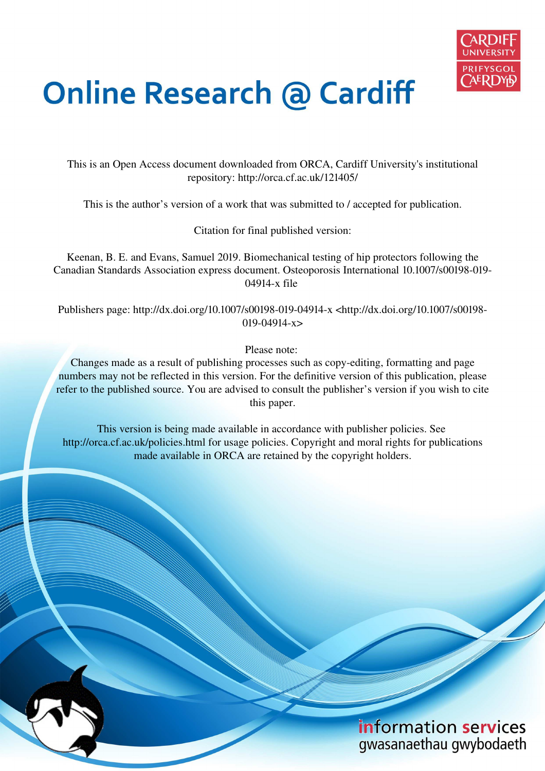

# **Online Research @ Cardiff**

This is an Open Access document downloaded from ORCA, Cardiff University's institutional repository: http://orca.cf.ac.uk/121405/

This is the author's version of a work that was submitted to / accepted for publication.

Citation for final published version:

Keenan, B. E. and Evans, Samuel 2019. Biomechanical testing of hip protectors following the Canadian Standards Association express document. Osteoporosis International 10.1007/s00198-019- 04914-x file

Publishers page: http://dx.doi.org/10.1007/s00198-019-04914-x <http://dx.doi.org/10.1007/s00198- 019-04914-x>

Please note:

Changes made as a result of publishing processes such as copy-editing, formatting and page numbers may not be reflected in this version. For the definitive version of this publication, please refer to the published source. You are advised to consult the publisher's version if you wish to cite this paper.

This version is being made available in accordance with publisher policies. See http://orca.cf.ac.uk/policies.html for usage policies. Copyright and moral rights for publications made available in ORCA are retained by the copyright holders.

# information services gwasanaethau gwybodaeth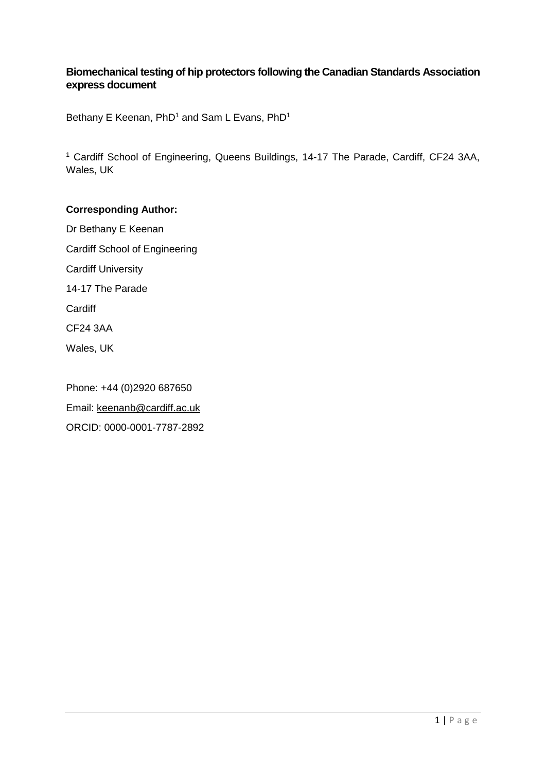# **Biomechanical testing of hip protectors following the Canadian Standards Association express document**

Bethany E Keenan,  $PhD<sup>1</sup>$  and Sam L Evans,  $PhD<sup>1</sup>$ 

<sup>1</sup> Cardiff School of Engineering, Queens Buildings, 14-17 The Parade, Cardiff, CF24 3AA, Wales, UK

#### **Corresponding Author:**

Dr Bethany E Keenan Cardiff School of Engineering Cardiff University 14-17 The Parade **Cardiff** CF24 3AA Wales, UK

Phone: +44 (0)2920 687650 Email: [keenanb@cardiff.ac.uk](mailto:keenanb@cardiff.ac.uk)  ORCID: 0000-0001-7787-2892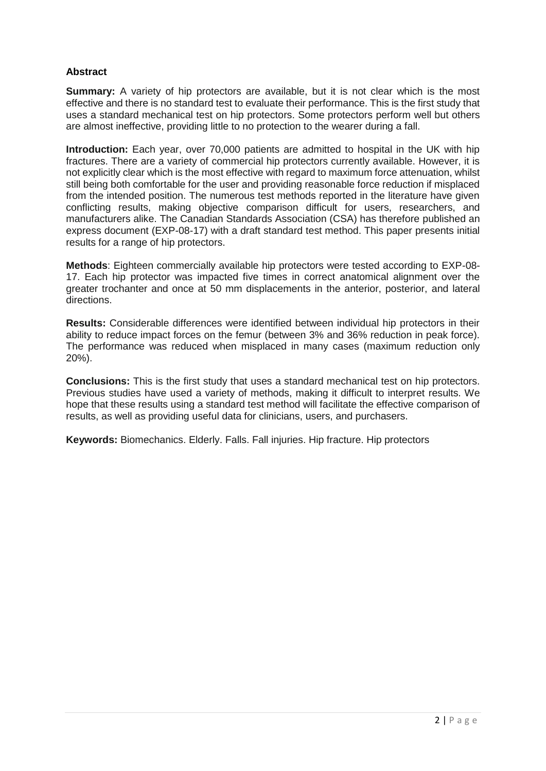#### **Abstract**

**Summary:** A variety of hip protectors are available, but it is not clear which is the most effective and there is no standard test to evaluate their performance. This is the first study that uses a standard mechanical test on hip protectors. Some protectors perform well but others are almost ineffective, providing little to no protection to the wearer during a fall.

**Introduction:** Each year, over 70,000 patients are admitted to hospital in the UK with hip fractures. There are a variety of commercial hip protectors currently available. However, it is not explicitly clear which is the most effective with regard to maximum force attenuation, whilst still being both comfortable for the user and providing reasonable force reduction if misplaced from the intended position. The numerous test methods reported in the literature have given conflicting results, making objective comparison difficult for users, researchers, and manufacturers alike. The Canadian Standards Association (CSA) has therefore published an express document (EXP-08-17) with a draft standard test method. This paper presents initial results for a range of hip protectors.

**Methods**: Eighteen commercially available hip protectors were tested according to EXP-08- 17. Each hip protector was impacted five times in correct anatomical alignment over the greater trochanter and once at 50 mm displacements in the anterior, posterior, and lateral directions.

**Results:** Considerable differences were identified between individual hip protectors in their ability to reduce impact forces on the femur (between 3% and 36% reduction in peak force). The performance was reduced when misplaced in many cases (maximum reduction only 20%).

**Conclusions:** This is the first study that uses a standard mechanical test on hip protectors. Previous studies have used a variety of methods, making it difficult to interpret results. We hope that these results using a standard test method will facilitate the effective comparison of results, as well as providing useful data for clinicians, users, and purchasers.

Keywords: Biomechanics. Elderly. Falls. Fall injuries. Hip fracture. Hip protectors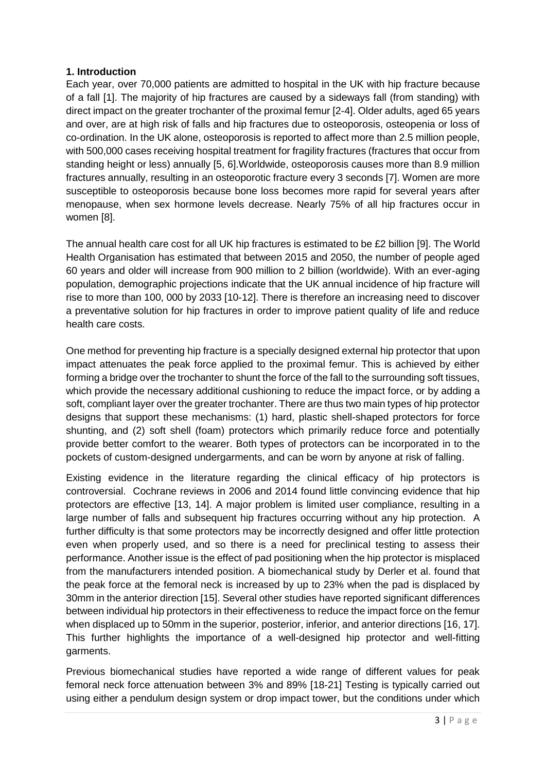#### **1. Introduction**

Each year, over 70,000 patients are admitted to hospital in the UK with hip fracture because of a fall [1]. The majority of hip fractures are caused by a sideways fall (from standing) with direct impact on the greater trochanter of the proximal femur [2-4]. Older adults, aged 65 years and over, are at high risk of falls and hip fractures due to osteoporosis, osteopenia or loss of co-ordination. In the UK alone, osteoporosis is reported to affect more than 2.5 million people, with 500,000 cases receiving hospital treatment for fragility fractures (fractures that occur from standing height or less) annually [5, 6].Worldwide, osteoporosis causes more than 8.9 million fractures annually, resulting in an osteoporotic fracture every 3 seconds [7]. Women are more susceptible to osteoporosis because bone loss becomes more rapid for several years after menopause, when sex hormone levels decrease. Nearly 75% of all hip fractures occur in women [8].

The annual health care cost for all UK hip fractures is estimated to be £2 billion [9]. The World Health Organisation has estimated that between 2015 and 2050, the number of people aged 60 years and older will increase from 900 million to 2 billion (worldwide). With an ever-aging population, demographic projections indicate that the UK annual incidence of hip fracture will rise to more than 100, 000 by 2033 [10-12]. There is therefore an increasing need to discover a preventative solution for hip fractures in order to improve patient quality of life and reduce health care costs.

One method for preventing hip fracture is a specially designed external hip protector that upon impact attenuates the peak force applied to the proximal femur. This is achieved by either forming a bridge over the trochanter to shunt the force of the fall to the surrounding soft tissues, which provide the necessary additional cushioning to reduce the impact force, or by adding a soft, compliant layer over the greater trochanter. There are thus two main types of hip protector designs that support these mechanisms: (1) hard, plastic shell-shaped protectors for force shunting, and (2) soft shell (foam) protectors which primarily reduce force and potentially provide better comfort to the wearer. Both types of protectors can be incorporated in to the pockets of custom-designed undergarments, and can be worn by anyone at risk of falling.

Existing evidence in the literature regarding the clinical efficacy of hip protectors is controversial. Cochrane reviews in 2006 and 2014 found little convincing evidence that hip protectors are effective [13, 14]. A major problem is limited user compliance, resulting in a large number of falls and subsequent hip fractures occurring without any hip protection. A further difficulty is that some protectors may be incorrectly designed and offer little protection even when properly used, and so there is a need for preclinical testing to assess their performance. Another issue is the effect of pad positioning when the hip protector is misplaced from the manufacturers intended position. A biomechanical study by Derler et al. found that the peak force at the femoral neck is increased by up to 23% when the pad is displaced by 30mm in the anterior direction [15]. Several other studies have reported significant differences between individual hip protectors in their effectiveness to reduce the impact force on the femur when displaced up to 50mm in the superior, posterior, inferior, and anterior directions [16, 17]. This further highlights the importance of a well-designed hip protector and well-fitting garments.

Previous biomechanical studies have reported a wide range of different values for peak femoral neck force attenuation between 3% and 89% [18-21] Testing is typically carried out using either a pendulum design system or drop impact tower, but the conditions under which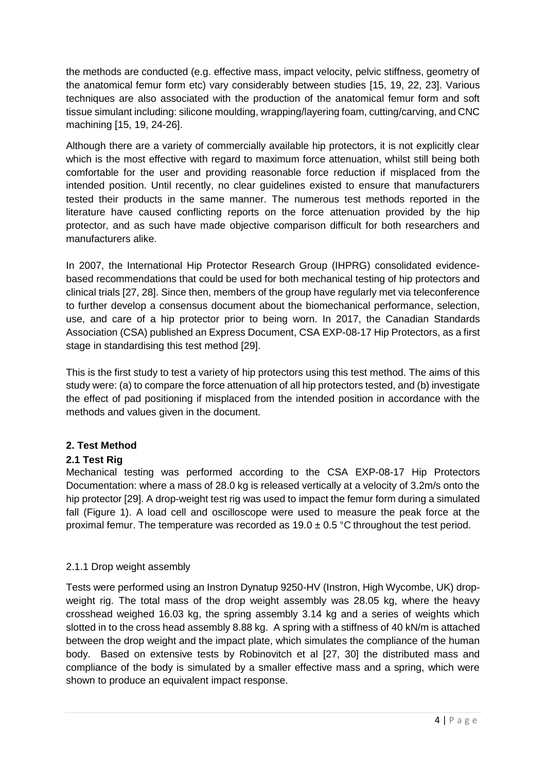the methods are conducted (e.g. effective mass, impact velocity, pelvic stiffness, geometry of the anatomical femur form etc) vary considerably between studies [15, 19, 22, 23]. Various techniques are also associated with the production of the anatomical femur form and soft tissue simulant including: silicone moulding, wrapping/layering foam, cutting/carving, and CNC machining [15, 19, 24-26].

Although there are a variety of commercially available hip protectors, it is not explicitly clear which is the most effective with regard to maximum force attenuation, whilst still being both comfortable for the user and providing reasonable force reduction if misplaced from the intended position. Until recently, no clear guidelines existed to ensure that manufacturers tested their products in the same manner. The numerous test methods reported in the literature have caused conflicting reports on the force attenuation provided by the hip protector, and as such have made objective comparison difficult for both researchers and manufacturers alike.

In 2007, the International Hip Protector Research Group (IHPRG) consolidated evidencebased recommendations that could be used for both mechanical testing of hip protectors and clinical trials [27, 28]. Since then, members of the group have regularly met via teleconference to further develop a consensus document about the biomechanical performance, selection, use, and care of a hip protector prior to being worn. In 2017, the Canadian Standards Association (CSA) published an Express Document, CSA EXP-08-17 Hip Protectors, as a first stage in standardising this test method [29].

This is the first study to test a variety of hip protectors using this test method. The aims of this study were: (a) to compare the force attenuation of all hip protectors tested, and (b) investigate the effect of pad positioning if misplaced from the intended position in accordance with the methods and values given in the document.

# **2. Test Method**

# **2.1 Test Rig**

Mechanical testing was performed according to the CSA EXP-08-17 Hip Protectors Documentation: where a mass of 28.0 kg is released vertically at a velocity of 3.2m/s onto the hip protector [29]. A drop-weight test rig was used to impact the femur form during a simulated fall (Figure 1). A load cell and oscilloscope were used to measure the peak force at the proximal femur. The temperature was recorded as  $19.0 \pm 0.5$  °C throughout the test period.

# 2.1.1 Drop weight assembly

Tests were performed using an Instron Dynatup 9250-HV (Instron, High Wycombe, UK) dropweight rig. The total mass of the drop weight assembly was 28.05 kg, where the heavy crosshead weighed 16.03 kg, the spring assembly 3.14 kg and a series of weights which slotted in to the cross head assembly 8.88 kg. A spring with a stiffness of 40 kN/m is attached between the drop weight and the impact plate, which simulates the compliance of the human body. Based on extensive tests by Robinovitch et al [27, 30] the distributed mass and compliance of the body is simulated by a smaller effective mass and a spring, which were shown to produce an equivalent impact response.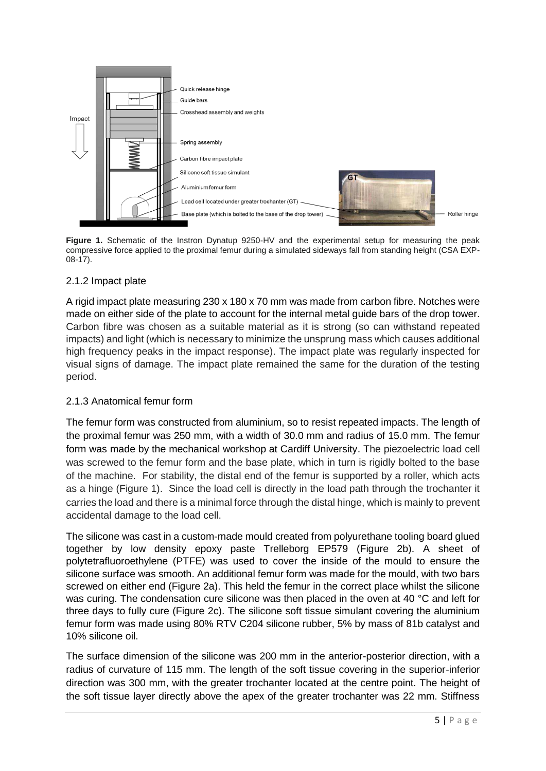

**Figure 1.** Schematic of the Instron Dynatup 9250-HV and the experimental setup for measuring the peak compressive force applied to the proximal femur during a simulated sideways fall from standing height (CSA EXP-08-17).

# 2.1.2 Impact plate

A rigid impact plate measuring 230 x 180 x 70 mm was made from carbon fibre. Notches were made on either side of the plate to account for the internal metal guide bars of the drop tower. Carbon fibre was chosen as a suitable material as it is strong (so can withstand repeated impacts) and light (which is necessary to minimize the unsprung mass which causes additional high frequency peaks in the impact response). The impact plate was regularly inspected for visual signs of damage. The impact plate remained the same for the duration of the testing period.

# 2.1.3 Anatomical femur form

The femur form was constructed from aluminium, so to resist repeated impacts. The length of the proximal femur was 250 mm, with a width of 30.0 mm and radius of 15.0 mm. The femur form was made by the mechanical workshop at Cardiff University. The piezoelectric load cell was screwed to the femur form and the base plate, which in turn is rigidly bolted to the base of the machine. For stability, the distal end of the femur is supported by a roller, which acts as a hinge (Figure 1). Since the load cell is directly in the load path through the trochanter it carries the load and there is a minimal force through the distal hinge, which is mainly to prevent accidental damage to the load cell.

The silicone was cast in a custom-made mould created from polyurethane tooling board glued together by low density epoxy paste Trelleborg EP579 (Figure 2b). A sheet of polytetrafluoroethylene (PTFE) was used to cover the inside of the mould to ensure the silicone surface was smooth. An additional femur form was made for the mould, with two bars screwed on either end (Figure 2a). This held the femur in the correct place whilst the silicone was curing. The condensation cure silicone was then placed in the oven at 40 °C and left for three days to fully cure (Figure 2c). The silicone soft tissue simulant covering the aluminium femur form was made using 80% RTV C204 silicone rubber, 5% by mass of 81b catalyst and 10% silicone oil.

The surface dimension of the silicone was 200 mm in the anterior-posterior direction, with a radius of curvature of 115 mm. The length of the soft tissue covering in the superior-inferior direction was 300 mm, with the greater trochanter located at the centre point. The height of the soft tissue layer directly above the apex of the greater trochanter was 22 mm. Stiffness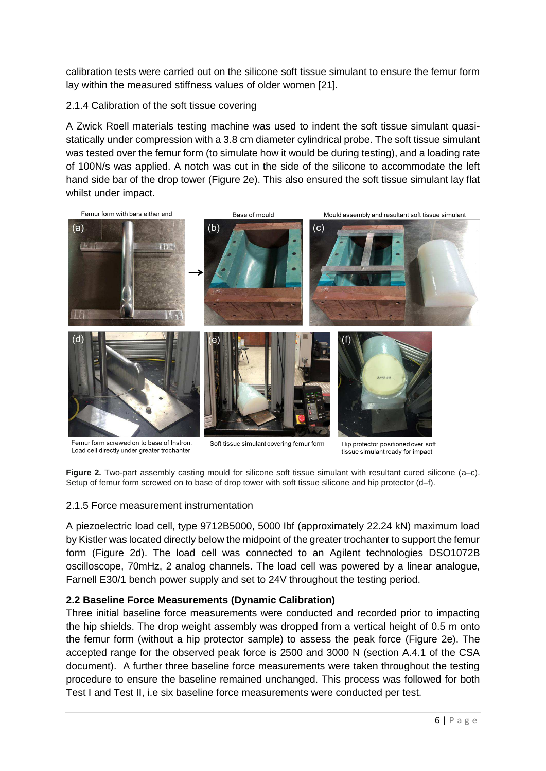calibration tests were carried out on the silicone soft tissue simulant to ensure the femur form lay within the measured stiffness values of older women [21].

#### 2.1.4 Calibration of the soft tissue covering

A Zwick Roell materials testing machine was used to indent the soft tissue simulant quasistatically under compression with a 3.8 cm diameter cylindrical probe. The soft tissue simulant was tested over the femur form (to simulate how it would be during testing), and a loading rate of 100N/s was applied. A notch was cut in the side of the silicone to accommodate the left hand side bar of the drop tower (Figure 2e). This also ensured the soft tissue simulant lay flat whilst under impact.



Femur form screwed on to base of Instron. Load cell directly under greater trochanter

Soft tissue simulant covering femur form

Hip protector positioned over soft tissue simulant ready for impact

**Figure 2.** Two-part assembly casting mould for silicone soft tissue simulant with resultant cured silicone (a–c). Setup of femur form screwed on to base of drop tower with soft tissue silicone and hip protector (d–f).

#### 2.1.5 Force measurement instrumentation

A piezoelectric load cell, type 9712B5000, 5000 Ibf (approximately 22.24 kN) maximum load by Kistler was located directly below the midpoint of the greater trochanter to support the femur form (Figure 2d). The load cell was connected to an Agilent technologies DSO1072B oscilloscope, 70mHz, 2 analog channels. The load cell was powered by a linear analogue, Farnell E30/1 bench power supply and set to 24V throughout the testing period.

# **2.2 Baseline Force Measurements (Dynamic Calibration)**

Three initial baseline force measurements were conducted and recorded prior to impacting the hip shields. The drop weight assembly was dropped from a vertical height of 0.5 m onto the femur form (without a hip protector sample) to assess the peak force (Figure 2e). The accepted range for the observed peak force is 2500 and 3000 N (section A.4.1 of the CSA document). A further three baseline force measurements were taken throughout the testing procedure to ensure the baseline remained unchanged. This process was followed for both Test I and Test II, i.e six baseline force measurements were conducted per test.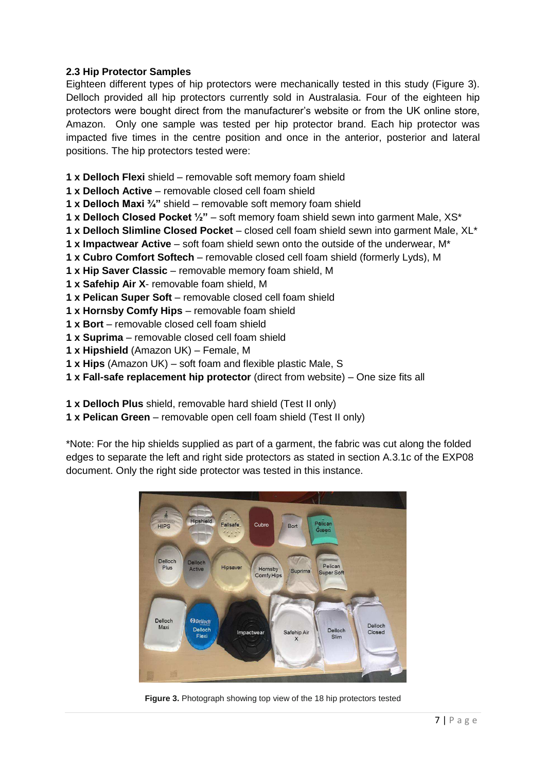#### **2.3 Hip Protector Samples**

Eighteen different types of hip protectors were mechanically tested in this study (Figure 3). Delloch provided all hip protectors currently sold in Australasia. Four of the eighteen hip protectors were bought direct from the manufacturer's website or from the UK online store, Amazon. Only one sample was tested per hip protector brand. Each hip protector was impacted five times in the centre position and once in the anterior, posterior and lateral positions. The hip protectors tested were:

- **1 x Delloch Flexi** shield removable soft memory foam shield
- **1 x Delloch Active** removable closed cell foam shield
- **1 x Delloch Maxi ¾"** shield removable soft memory foam shield
- **1 x Delloch Closed Pocket ½"** soft memory foam shield sewn into garment Male, XS\*
- **1 x Delloch Slimline Closed Pocket** closed cell foam shield sewn into garment Male, XL\*
- **1 x Impactwear Active** soft foam shield sewn onto the outside of the underwear, M\*
- **1 x Cubro Comfort Softech** removable closed cell foam shield (formerly Lyds), M
- **1 x Hip Saver Classic** removable memory foam shield, M
- **1 x Safehip Air X** removable foam shield, M
- **1 x Pelican Super Soft** removable closed cell foam shield
- **1 x Hornsby Comfy Hips** removable foam shield
- **1 x Bort**  removable closed cell foam shield
- **1 x Suprima** removable closed cell foam shield
- **1 x Hipshield** (Amazon UK) Female, M
- **1 x Hips** (Amazon UK) soft foam and flexible plastic Male, S
- **1 x Fall-safe replacement hip protector** (direct from website) One size fits all
- **1 x Delloch Plus** shield, removable hard shield (Test II only)
- **1 x Pelican Green** removable open cell foam shield (Test II only)

\*Note: For the hip shields supplied as part of a garment, the fabric was cut along the folded edges to separate the left and right side protectors as stated in section A.3.1c of the EXP08 document. Only the right side protector was tested in this instance.



**Figure 3.** Photograph showing top view of the 18 hip protectors tested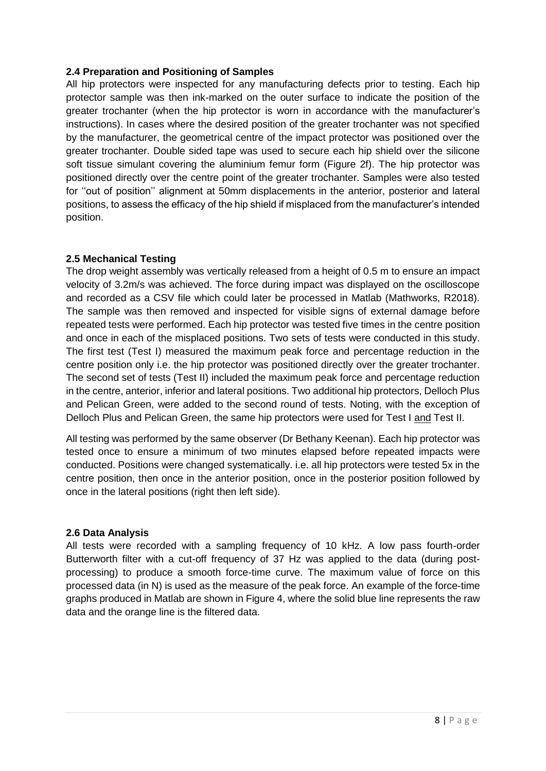#### **2.4 Preparation and Positioning of Samples**

All hip protectors were inspected for any manufacturing defects prior to testing. Each hip protector sample was then ink-marked on the outer surface to indicate the position of the greater trochanter (when the hip protector is worn in accordance with the manufacturer's instructions). In cases where the desired position of the greater trochanter was not specified by the manufacturer, the geometrical centre of the impact protector was positioned over the greater trochanter. Double sided tape was used to secure each hip shield over the silicone soft tissue simulant covering the aluminium femur form (Figure 2f). The hip protector was positioned directly over the centre point of the greater trochanter. Samples were also tested for ''out of position'' alignment at 50mm displacements in the anterior, posterior and lateral positions, to assess the efficacy of the hip shield if misplaced from the manufacturer's intended position.

#### **2.5 Mechanical Testing**

The drop weight assembly was vertically released from a height of 0.5 m to ensure an impact velocity of 3.2m/s was achieved. The force during impact was displayed on the oscilloscope and recorded as a CSV file which could later be processed in Matlab (Mathworks, R2018). The sample was then removed and inspected for visible signs of external damage before repeated tests were performed. Each hip protector was tested five times in the centre position and once in each of the misplaced positions. Two sets of tests were conducted in this study. The first test (Test I) measured the maximum peak force and percentage reduction in the centre position only i.e. the hip protector was positioned directly over the greater trochanter. The second set of tests (Test II) included the maximum peak force and percentage reduction in the centre, anterior, inferior and lateral positions. Two additional hip protectors, Delloch Plus and Pelican Green, were added to the second round of tests. Noting, with the exception of Delloch Plus and Pelican Green, the same hip protectors were used for Test I and Test II.

All testing was performed by the same observer (Dr Bethany Keenan). Each hip protector was tested once to ensure a minimum of two minutes elapsed before repeated impacts were conducted. Positions were changed systematically. i.e. all hip protectors were tested 5x in the centre position, then once in the anterior position, once in the posterior position followed by once in the lateral positions (right then left side).

#### **2.6 Data Analysis**

All tests were recorded with a sampling frequency of 10 kHz. A low pass fourth-order Butterworth filter with a cut-off frequency of 37 Hz was applied to the data (during postprocessing) to produce a smooth force-time curve. The maximum value of force on this processed data (in N) is used as the measure of the peak force. An example of the force-time graphs produced in Matlab are shown in Figure 4, where the solid blue line represents the raw data and the orange line is the filtered data.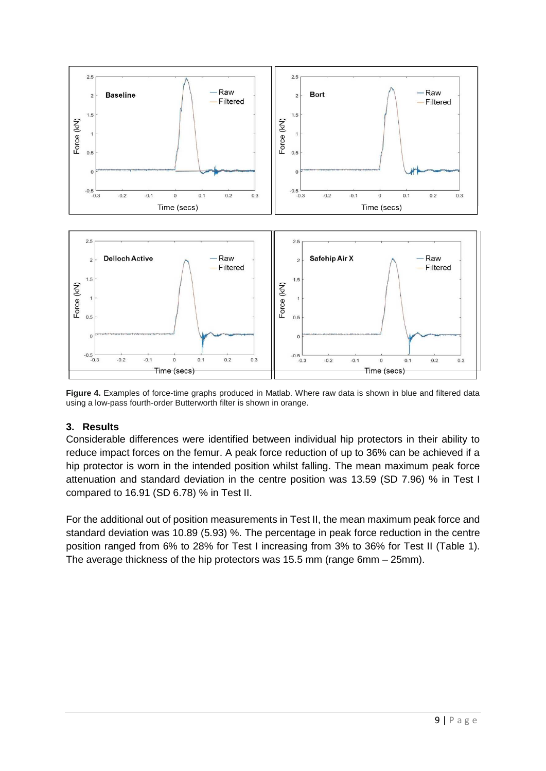

**Figure 4.** Examples of force-time graphs produced in Matlab. Where raw data is shown in blue and filtered data using a low-pass fourth-order Butterworth filter is shown in orange.

# **3. Results**

Considerable differences were identified between individual hip protectors in their ability to reduce impact forces on the femur. A peak force reduction of up to 36% can be achieved if a hip protector is worn in the intended position whilst falling. The mean maximum peak force attenuation and standard deviation in the centre position was 13.59 (SD 7.96) % in Test I compared to 16.91 (SD 6.78) % in Test II.

For the additional out of position measurements in Test II, the mean maximum peak force and standard deviation was 10.89 (5.93) %. The percentage in peak force reduction in the centre position ranged from 6% to 28% for Test I increasing from 3% to 36% for Test II (Table 1). The average thickness of the hip protectors was 15.5 mm (range 6mm – 25mm).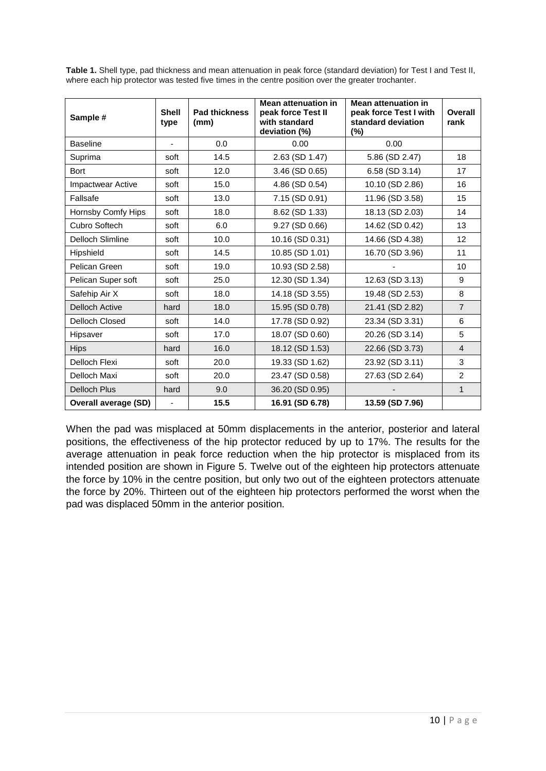**Table 1.** Shell type, pad thickness and mean attenuation in peak force (standard deviation) for Test I and Test II, where each hip protector was tested five times in the centre position over the greater trochanter.

| Sample #                 | <b>Shell</b><br>type     | <b>Pad thickness</b><br>(mm) | <b>Mean attenuation in</b><br>peak force Test II<br>with standard<br>deviation (%) | <b>Mean attenuation in</b><br>peak force Test I with<br>standard deviation<br>$(\%)$ | Overall<br>rank |
|--------------------------|--------------------------|------------------------------|------------------------------------------------------------------------------------|--------------------------------------------------------------------------------------|-----------------|
| <b>Baseline</b>          |                          | 0.0                          | 0.00                                                                               | 0.00                                                                                 |                 |
| Suprima                  | soft                     | 14.5                         | 2.63 (SD 1.47)                                                                     | 5.86 (SD 2.47)                                                                       | 18              |
| <b>Bort</b>              | soft                     | 12.0                         | 3.46 (SD 0.65)                                                                     | 6.58 (SD 3.14)                                                                       | 17              |
| <b>Impactwear Active</b> | soft                     | 15.0                         | 4.86 (SD 0.54)                                                                     | 10.10 (SD 2.86)                                                                      | 16              |
| Fallsafe                 | soft                     | 13.0                         | 7.15 (SD 0.91)                                                                     | 11.96 (SD 3.58)                                                                      | 15              |
| Hornsby Comfy Hips       | soft                     | 18.0                         | 8.62 (SD 1.33)                                                                     | 18.13 (SD 2.03)                                                                      | 14              |
| Cubro Softech            | soft                     | 6.0                          | 9.27 (SD 0.66)                                                                     | 14.62 (SD 0.42)                                                                      | 13              |
| Delloch Slimline         | soft                     | 10.0                         | 10.16 (SD 0.31)                                                                    | 14.66 (SD 4.38)                                                                      | 12              |
| Hipshield                | soft                     | 14.5                         | 10.85 (SD 1.01)                                                                    | 16.70 (SD 3.96)                                                                      | 11              |
| Pelican Green            | soft                     | 19.0                         | 10.93 (SD 2.58)                                                                    |                                                                                      | 10              |
| Pelican Super soft       | soft                     | 25.0                         | 12.30 (SD 1.34)                                                                    | 12.63 (SD 3.13)                                                                      | 9               |
| Safehip Air X            | soft                     | 18.0                         | 14.18 (SD 3.55)                                                                    | 19.48 (SD 2.53)                                                                      | 8               |
| <b>Delloch Active</b>    | hard                     | 18.0                         | 15.95 (SD 0.78)                                                                    | 21.41 (SD 2.82)                                                                      | $\overline{7}$  |
| <b>Delloch Closed</b>    | soft                     | 14.0                         | 17.78 (SD 0.92)                                                                    | 23.34 (SD 3.31)                                                                      | 6               |
| Hipsaver                 | soft                     | 17.0                         | 18.07 (SD 0.60)                                                                    | 20.26 (SD 3.14)                                                                      | 5               |
| <b>Hips</b>              | hard                     | 16.0                         | 18.12 (SD 1.53)                                                                    | 22.66 (SD 3.73)                                                                      | $\overline{4}$  |
| Delloch Flexi            | soft                     | 20.0                         | 19.33 (SD 1.62)                                                                    | 23.92 (SD 3.11)                                                                      | 3               |
| Delloch Maxi             | soft                     | 20.0                         | 23.47 (SD 0.58)                                                                    | 27.63 (SD 2.64)                                                                      | $\overline{2}$  |
| <b>Delloch Plus</b>      | hard                     | 9.0                          | 36.20 (SD 0.95)                                                                    |                                                                                      | $\mathbf{1}$    |
| Overall average (SD)     | $\overline{\phantom{0}}$ | 15.5                         | 16.91 (SD 6.78)                                                                    | 13.59 (SD 7.96)                                                                      |                 |

When the pad was misplaced at 50mm displacements in the anterior, posterior and lateral positions, the effectiveness of the hip protector reduced by up to 17%. The results for the average attenuation in peak force reduction when the hip protector is misplaced from its intended position are shown in Figure 5. Twelve out of the eighteen hip protectors attenuate the force by 10% in the centre position, but only two out of the eighteen protectors attenuate the force by 20%. Thirteen out of the eighteen hip protectors performed the worst when the pad was displaced 50mm in the anterior position.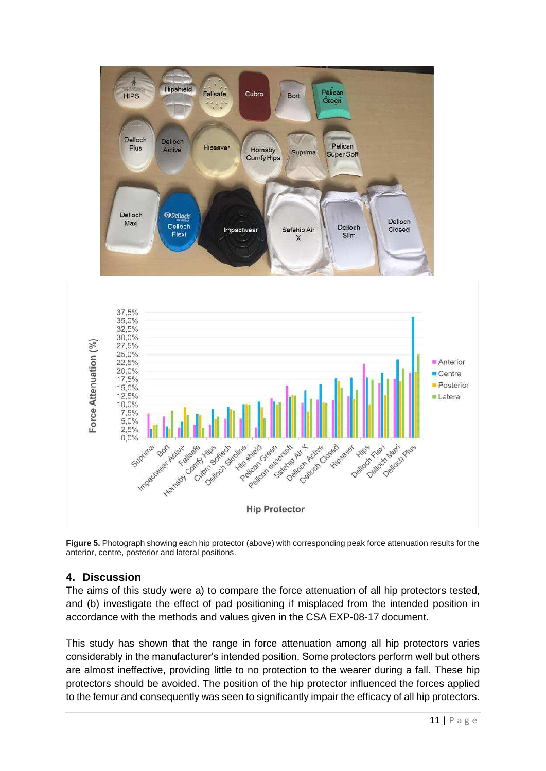

**Figure 5.** Photograph showing each hip protector (above) with corresponding peak force attenuation results for the anterior, centre, posterior and lateral positions.

# **4. Discussion**

The aims of this study were a) to compare the force attenuation of all hip protectors tested, and (b) investigate the effect of pad positioning if misplaced from the intended position in accordance with the methods and values given in the CSA EXP-08-17 document.

This study has shown that the range in force attenuation among all hip protectors varies considerably in the manufacturer's intended position. Some protectors perform well but others are almost ineffective, providing little to no protection to the wearer during a fall. These hip protectors should be avoided. The position of the hip protector influenced the forces applied to the femur and consequently was seen to significantly impair the efficacy of all hip protectors.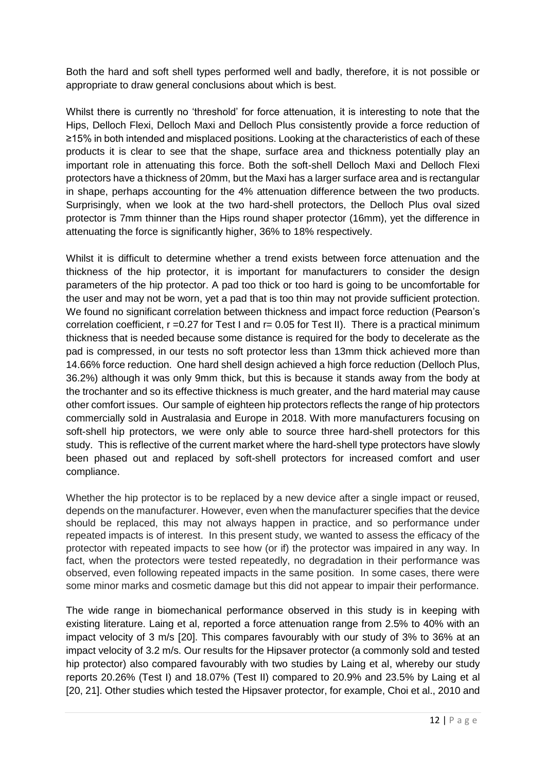Both the hard and soft shell types performed well and badly, therefore, it is not possible or appropriate to draw general conclusions about which is best.

Whilst there is currently no 'threshold' for force attenuation, it is interesting to note that the Hips, Delloch Flexi, Delloch Maxi and Delloch Plus consistently provide a force reduction of ≥15% in both intended and misplaced positions. Looking at the characteristics of each of these products it is clear to see that the shape, surface area and thickness potentially play an important role in attenuating this force. Both the soft-shell Delloch Maxi and Delloch Flexi protectors have a thickness of 20mm, but the Maxi has a larger surface area and is rectangular in shape, perhaps accounting for the 4% attenuation difference between the two products. Surprisingly, when we look at the two hard-shell protectors, the Delloch Plus oval sized protector is 7mm thinner than the Hips round shaper protector (16mm), yet the difference in attenuating the force is significantly higher, 36% to 18% respectively.

Whilst it is difficult to determine whether a trend exists between force attenuation and the thickness of the hip protector, it is important for manufacturers to consider the design parameters of the hip protector. A pad too thick or too hard is going to be uncomfortable for the user and may not be worn, yet a pad that is too thin may not provide sufficient protection. We found no significant correlation between thickness and impact force reduction (Pearson's correlation coefficient,  $r = 0.27$  for Test I and  $r = 0.05$  for Test II). There is a practical minimum thickness that is needed because some distance is required for the body to decelerate as the pad is compressed, in our tests no soft protector less than 13mm thick achieved more than 14.66% force reduction. One hard shell design achieved a high force reduction (Delloch Plus, 36.2%) although it was only 9mm thick, but this is because it stands away from the body at the trochanter and so its effective thickness is much greater, and the hard material may cause other comfort issues. Our sample of eighteen hip protectors reflects the range of hip protectors commercially sold in Australasia and Europe in 2018. With more manufacturers focusing on soft-shell hip protectors, we were only able to source three hard-shell protectors for this study. This is reflective of the current market where the hard-shell type protectors have slowly been phased out and replaced by soft-shell protectors for increased comfort and user compliance.

Whether the hip protector is to be replaced by a new device after a single impact or reused. depends on the manufacturer. However, even when the manufacturer specifies that the device should be replaced, this may not always happen in practice, and so performance under repeated impacts is of interest. In this present study, we wanted to assess the efficacy of the protector with repeated impacts to see how (or if) the protector was impaired in any way. In fact, when the protectors were tested repeatedly, no degradation in their performance was observed, even following repeated impacts in the same position. In some cases, there were some minor marks and cosmetic damage but this did not appear to impair their performance.

The wide range in biomechanical performance observed in this study is in keeping with existing literature. Laing et al, reported a force attenuation range from 2.5% to 40% with an impact velocity of 3 m/s [20]. This compares favourably with our study of 3% to 36% at an impact velocity of 3.2 m/s. Our results for the Hipsaver protector (a commonly sold and tested hip protector) also compared favourably with two studies by Laing et al, whereby our study reports 20.26% (Test I) and 18.07% (Test II) compared to 20.9% and 23.5% by Laing et al [20, 21]. Other studies which tested the Hipsaver protector, for example, Choi et al., 2010 and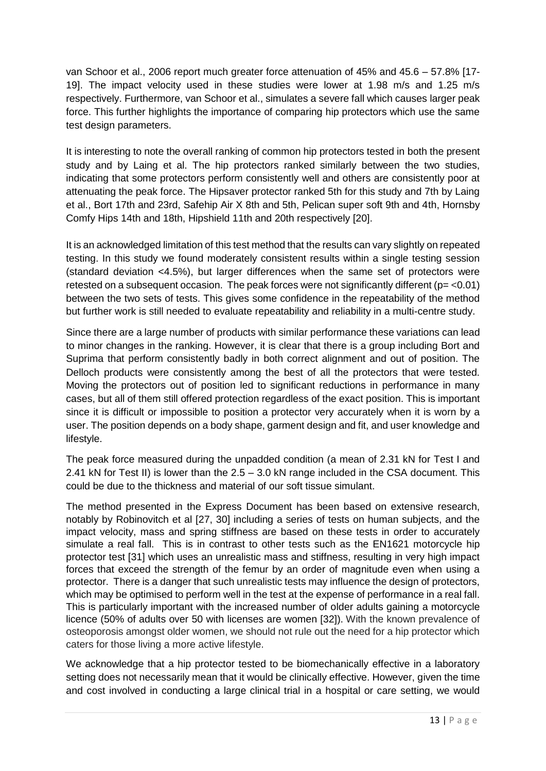van Schoor et al., 2006 report much greater force attenuation of 45% and 45.6 – 57.8% [17- 19]. The impact velocity used in these studies were lower at 1.98 m/s and 1.25 m/s respectively. Furthermore, van Schoor et al., simulates a severe fall which causes larger peak force. This further highlights the importance of comparing hip protectors which use the same test design parameters.

It is interesting to note the overall ranking of common hip protectors tested in both the present study and by Laing et al. The hip protectors ranked similarly between the two studies, indicating that some protectors perform consistently well and others are consistently poor at attenuating the peak force. The Hipsaver protector ranked 5th for this study and 7th by Laing et al., Bort 17th and 23rd, Safehip Air X 8th and 5th, Pelican super soft 9th and 4th, Hornsby Comfy Hips 14th and 18th, Hipshield 11th and 20th respectively [20].

It is an acknowledged limitation of this test method that the results can vary slightly on repeated testing. In this study we found moderately consistent results within a single testing session (standard deviation <4.5%), but larger differences when the same set of protectors were retested on a subsequent occasion. The peak forces were not significantly different ( $p = < 0.01$ ) between the two sets of tests. This gives some confidence in the repeatability of the method but further work is still needed to evaluate repeatability and reliability in a multi-centre study.

Since there are a large number of products with similar performance these variations can lead to minor changes in the ranking. However, it is clear that there is a group including Bort and Suprima that perform consistently badly in both correct alignment and out of position. The Delloch products were consistently among the best of all the protectors that were tested. Moving the protectors out of position led to significant reductions in performance in many cases, but all of them still offered protection regardless of the exact position. This is important since it is difficult or impossible to position a protector very accurately when it is worn by a user. The position depends on a body shape, garment design and fit, and user knowledge and lifestyle.

The peak force measured during the unpadded condition (a mean of 2.31 kN for Test I and 2.41 kN for Test II) is lower than the 2.5 – 3.0 kN range included in the CSA document. This could be due to the thickness and material of our soft tissue simulant.

The method presented in the Express Document has been based on extensive research, notably by Robinovitch et al [27, 30] including a series of tests on human subjects, and the impact velocity, mass and spring stiffness are based on these tests in order to accurately simulate a real fall. This is in contrast to other tests such as the EN1621 motorcycle hip protector test [31] which uses an unrealistic mass and stiffness, resulting in very high impact forces that exceed the strength of the femur by an order of magnitude even when using a protector. There is a danger that such unrealistic tests may influence the design of protectors, which may be optimised to perform well in the test at the expense of performance in a real fall. This is particularly important with the increased number of older adults gaining a motorcycle licence (50% of adults over 50 with licenses are women [32]). With the known prevalence of osteoporosis amongst older women, we should not rule out the need for a hip protector which caters for those living a more active lifestyle.

We acknowledge that a hip protector tested to be biomechanically effective in a laboratory setting does not necessarily mean that it would be clinically effective. However, given the time and cost involved in conducting a large clinical trial in a hospital or care setting, we would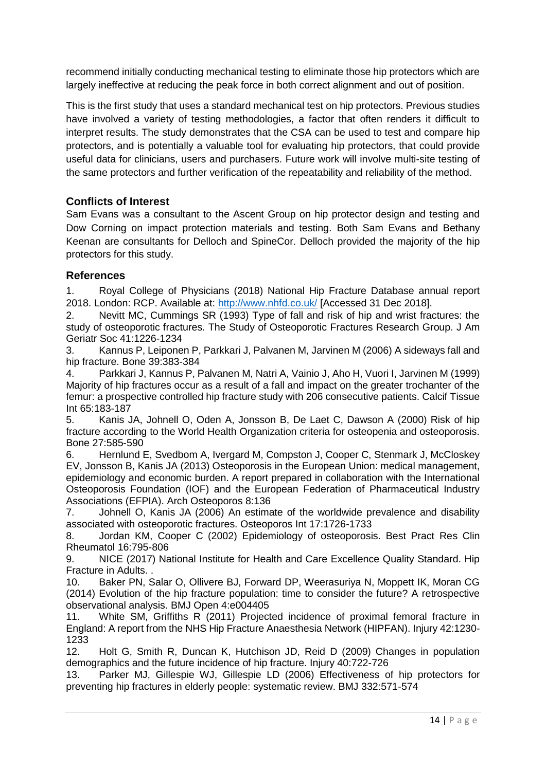recommend initially conducting mechanical testing to eliminate those hip protectors which are largely ineffective at reducing the peak force in both correct alignment and out of position.

This is the first study that uses a standard mechanical test on hip protectors. Previous studies have involved a variety of testing methodologies, a factor that often renders it difficult to interpret results. The study demonstrates that the CSA can be used to test and compare hip protectors, and is potentially a valuable tool for evaluating hip protectors, that could provide useful data for clinicians, users and purchasers. Future work will involve multi-site testing of the same protectors and further verification of the repeatability and reliability of the method.

# **Conflicts of Interest**

Sam Evans was a consultant to the Ascent Group on hip protector design and testing and Dow Corning on impact protection materials and testing. Both Sam Evans and Bethany Keenan are consultants for Delloch and SpineCor. Delloch provided the majority of the hip protectors for this study.

#### **References**

1. Royal College of Physicians (2018) National Hip Fracture Database annual report 2018. London: RCP. Available at:<http://www.nhfd.co.uk/>[Accessed 31 Dec 2018].

2. Nevitt MC, Cummings SR (1993) Type of fall and risk of hip and wrist fractures: the study of osteoporotic fractures. The Study of Osteoporotic Fractures Research Group. J Am Geriatr Soc 41:1226-1234

3. Kannus P, Leiponen P, Parkkari J, Palvanen M, Jarvinen M (2006) A sideways fall and hip fracture. Bone 39:383-384

4. Parkkari J, Kannus P, Palvanen M, Natri A, Vainio J, Aho H, Vuori I, Jarvinen M (1999) Majority of hip fractures occur as a result of a fall and impact on the greater trochanter of the femur: a prospective controlled hip fracture study with 206 consecutive patients. Calcif Tissue Int 65:183-187

5. Kanis JA, Johnell O, Oden A, Jonsson B, De Laet C, Dawson A (2000) Risk of hip fracture according to the World Health Organization criteria for osteopenia and osteoporosis. Bone 27:585-590

6. Hernlund E, Svedbom A, Ivergard M, Compston J, Cooper C, Stenmark J, McCloskey EV, Jonsson B, Kanis JA (2013) Osteoporosis in the European Union: medical management, epidemiology and economic burden. A report prepared in collaboration with the International Osteoporosis Foundation (IOF) and the European Federation of Pharmaceutical Industry Associations (EFPIA). Arch Osteoporos 8:136

7. Johnell O, Kanis JA (2006) An estimate of the worldwide prevalence and disability associated with osteoporotic fractures. Osteoporos Int 17:1726-1733

8. Jordan KM, Cooper C (2002) Epidemiology of osteoporosis. Best Pract Res Clin Rheumatol 16:795-806

9. NICE (2017) National Institute for Health and Care Excellence Quality Standard. Hip Fracture in Adults. .

10. Baker PN, Salar O, Ollivere BJ, Forward DP, Weerasuriya N, Moppett IK, Moran CG (2014) Evolution of the hip fracture population: time to consider the future? A retrospective observational analysis. BMJ Open 4:e004405

11. White SM, Griffiths R (2011) Projected incidence of proximal femoral fracture in England: A report from the NHS Hip Fracture Anaesthesia Network (HIPFAN). Injury 42:1230- 1233

12. Holt G, Smith R, Duncan K, Hutchison JD, Reid D (2009) Changes in population demographics and the future incidence of hip fracture. Injury 40:722-726

13. Parker MJ, Gillespie WJ, Gillespie LD (2006) Effectiveness of hip protectors for preventing hip fractures in elderly people: systematic review. BMJ 332:571-574